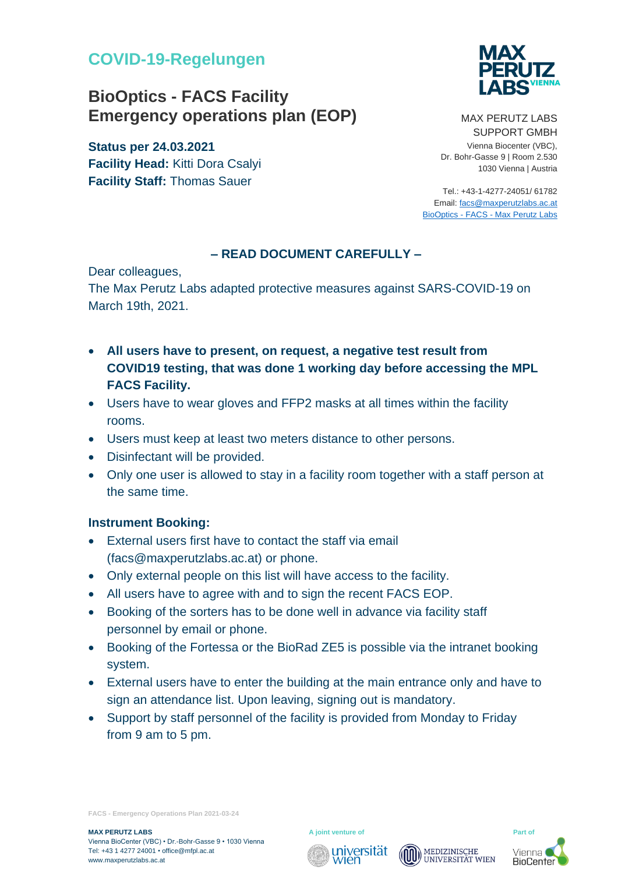## **COVID-19-Regelungen**

# **BioOptics - FACS Facility Emergency operations plan (EOP)**

**Status per 24.03.2021 Facility Head:** Kitti Dora Csalyi **Facility Staff:** Thomas Sauer



MAX PERUTZ LABS SUPPORT GMBH Vienna Biocenter (VBC), Dr. Bohr-Gasse 9 | Room 2.530 1030 Vienna | Austria

Tel.: +43-1-4277-24051/ 61782 Email[: facs@maxperutzlabs.ac.at](facs@maxperutzlabs.ac.at) BioOptics - FACS - [Max Perutz Labs](https://www.maxperutzlabs.ac.at/research/facilities/biooptics-facs#c1775)

#### **– READ DOCUMENT CAREFULLY –**

Dear colleagues,

The Max Perutz Labs adapted protective measures against SARS-COVID-19 on March 19th, 2021.

- **All users have to present, on request, a negative test result from COVID19 testing, that was done 1 working day before accessing the MPL FACS Facility.**
- Users have to wear gloves and FFP2 masks at all times within the facility rooms.
- Users must keep at least two meters distance to other persons.
- Disinfectant will be provided.
- Only one user is allowed to stay in a facility room together with a staff person at the same time.

#### **Instrument Booking:**

- External users first have to contact the staff via email (facs@maxperutzlabs.ac.at) or phone.
- Only external people on this list will have access to the facility.
- All users have to agree with and to sign the recent FACS EOP.
- Booking of the sorters has to be done well in advance via facility staff personnel by email or phone.
- Booking of the Fortessa or the BioRad ZE5 is possible via the intranet booking system.
- External users have to enter the building at the main entrance only and have to sign an attendance list. Upon leaving, signing out is mandatory.
- Support by staff personnel of the facility is provided from Monday to Friday from 9 am to 5 pm.

**FACS - Emergency Operations Plan 2021-03-24**

**MAX PERUTZ LABS** Part of **Part of Part of A joint venture of Part of Part of** 







**BioCenter**